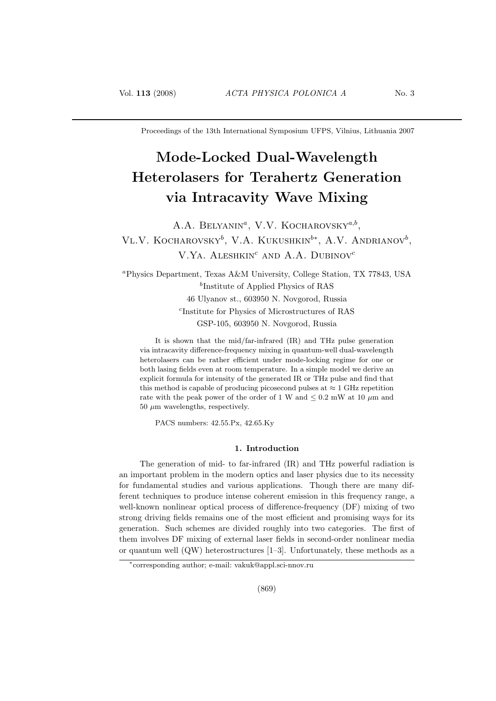Proceedings of the 13th International Symposium UFPS, Vilnius, Lithuania 2007

# Mode-Locked Dual-Wavelength Heterolasers for Terahertz Generation via Intracavity Wave Mixing

A.A. BELYANIN<sup>a</sup>, V.V. KOCHAROVSKY<sup>a,b</sup>, VL.V. KOCHAROVSKY<sup>b</sup>, V.A. KUKUSHKIN<sup>b\*</sup>, A.V. ANDRIANOV<sup>b</sup>, V.YA. ALESHKIN<sup>c</sup> AND A.A. DUBINOV<sup>c</sup>

<sup>a</sup>Physics Department, Texas A&M University, College Station, TX 77843, USA b Institute of Applied Physics of RAS 46 Ulyanov st., 603950 N. Novgorod, Russia c Institute for Physics of Microstructures of RAS GSP-105, 603950 N. Novgorod, Russia

It is shown that the mid/far-infrared (IR) and THz pulse generation via intracavity difference-frequency mixing in quantum-well dual-wavelength heterolasers can be rather efficient under mode-locking regime for one or both lasing fields even at room temperature. In a simple model we derive an explicit formula for intensity of the generated IR or THz pulse and find that this method is capable of producing picosecond pulses at  $\approx 1$  GHz repetition rate with the peak power of the order of 1 W and  $\leq 0.2$  mW at 10  $\mu$ m and  $50 \mu m$  wavelengths, respectively.

PACS numbers: 42.55.Px, 42.65.Ky

## 1. Introduction

The generation of mid- to far-infrared (IR) and THz powerful radiation is an important problem in the modern optics and laser physics due to its necessity for fundamental studies and various applications. Though there are many different techniques to produce intense coherent emission in this frequency range, a well-known nonlinear optical process of difference-frequency (DF) mixing of two strong driving fields remains one of the most efficient and promising ways for its generation. Such schemes are divided roughly into two categories. The first of them involves DF mixing of external laser fields in second-order nonlinear media or quantum well (QW) heterostructures [1–3]. Unfortunately, these methods as a

<sup>∗</sup> corresponding author; e-mail: vakuk@appl.sci-nnov.ru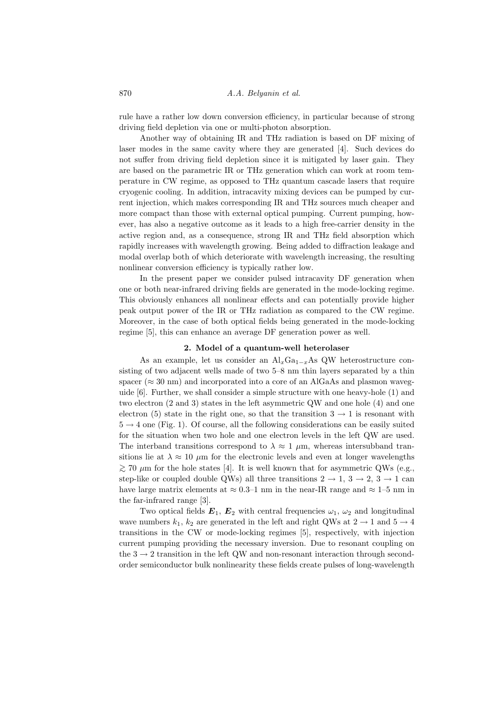rule have a rather low down conversion efficiency, in particular because of strong driving field depletion via one or multi-photon absorption.

Another way of obtaining IR and THz radiation is based on DF mixing of laser modes in the same cavity where they are generated [4]. Such devices do not suffer from driving field depletion since it is mitigated by laser gain. They are based on the parametric IR or THz generation which can work at room temperature in CW regime, as opposed to THz quantum cascade lasers that require cryogenic cooling. In addition, intracavity mixing devices can be pumped by current injection, which makes corresponding IR and THz sources much cheaper and more compact than those with external optical pumping. Current pumping, however, has also a negative outcome as it leads to a high free-carrier density in the active region and, as a consequence, strong IR and THz field absorption which rapidly increases with wavelength growing. Being added to diffraction leakage and modal overlap both of which deteriorate with wavelength increasing, the resulting nonlinear conversion efficiency is typically rather low.

In the present paper we consider pulsed intracavity DF generation when one or both near-infrared driving fields are generated in the mode-locking regime. This obviously enhances all nonlinear effects and can potentially provide higher peak output power of the IR or THz radiation as compared to the CW regime. Moreover, in the case of both optical fields being generated in the mode-locking regime [5], this can enhance an average DF generation power as well.

#### 2. Model of a quantum-well heterolaser

As an example, let us consider an  $\text{Al}_x\text{Ga}_{1-x}\text{As}$  QW heterostructure consisting of two adjacent wells made of two 5–8 nm thin layers separated by a thin spacer ( $\approx 30 \text{ nm}$ ) and incorporated into a core of an AlGaAs and plasmon waveguide [6]. Further, we shall consider a simple structure with one heavy-hole (1) and two electron (2 and 3) states in the left asymmetric QW and one hole (4) and one electron (5) state in the right one, so that the transition  $3 \rightarrow 1$  is resonant with  $5 \rightarrow 4$  one (Fig. 1). Of course, all the following considerations can be easily suited for the situation when two hole and one electron levels in the left QW are used. The interband transitions correspond to  $\lambda \approx 1 \mu$ m, whereas intersubband transitions lie at  $\lambda \approx 10 \ \mu \text{m}$  for the electronic levels and even at longer wavelengths  $\geq$  70 μm for the hole states [4]. It is well known that for asymmetric QWs (e.g., step-like or coupled double QWs) all three transitions  $2 \rightarrow 1, 3 \rightarrow 2, 3 \rightarrow 1$  can have large matrix elements at  $\approx 0.3-1$  nm in the near-IR range and  $\approx 1-5$  nm in the far-infrared range [3].

Two optical fields  $\mathbf{E}_1$ ,  $\mathbf{E}_2$  with central frequencies  $\omega_1$ ,  $\omega_2$  and longitudinal wave numbers  $k_1$ ,  $k_2$  are generated in the left and right QWs at  $2 \rightarrow 1$  and  $5 \rightarrow 4$ transitions in the CW or mode-locking regimes [5], respectively, with injection current pumping providing the necessary inversion. Due to resonant coupling on the  $3 \rightarrow 2$  transition in the left QW and non-resonant interaction through secondorder semiconductor bulk nonlinearity these fields create pulses of long-wavelength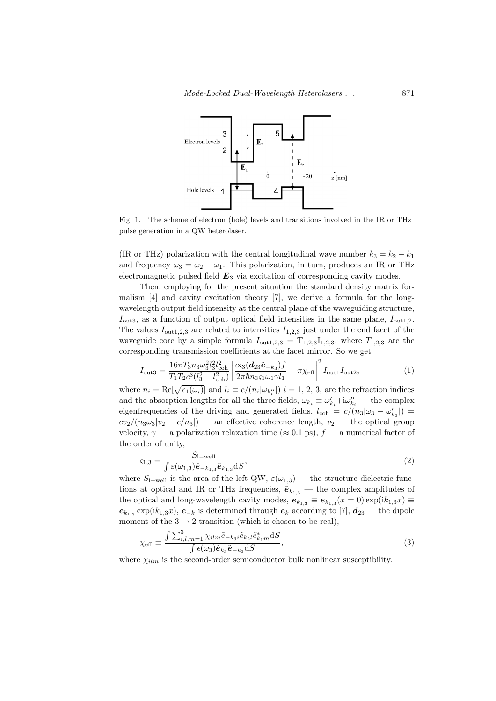

Fig. 1. The scheme of electron (hole) levels and transitions involved in the IR or THz pulse generation in a QW heterolaser.

(IR or THz) polarization with the central longitudinal wave number  $k_3 = k_2 - k_1$ and frequency  $\omega_3 = \omega_2 - \omega_1$ . This polarization, in turn, produces an IR or THz electromagnetic pulsed field  $E_3$  via excitation of corresponding cavity modes.

Then, employing for the present situation the standard density matrix formalism [4] and cavity excitation theory [7], we derive a formula for the longwavelength output field intensity at the central plane of the waveguiding structure,  $I_{\text{out3}}$ , as a function of output optical field intensities in the same plane,  $I_{\text{out1,2}}$ . The values  $I_{\text{out1,2,3}}$  are related to intensities  $I_{1,2,3}$  just under the end facet of the waveguide core by a simple formula  $I_{\text{out1,2,3}} = T_{1,2,3}I_{1,2,3}$ , where  $T_{1,2,3}$  are the corresponding transmission coefficients at the facet mirror. So we get

$$
I_{\text{out3}} = \frac{16\pi T_3 n_3 \omega_3^2 l_3^2 l_{\text{coh}}^2}{T_1 T_2 c^3 (l_3^2 + l_{\text{coh}}^2)} \left| \frac{c_{\text{Si}} (\mathbf{d}_{23} \tilde{\mathbf{e}}_{-k_3}) f}{2\pi \hbar n_3 \varsigma_1 \omega_1 \gamma l_1} + \pi \chi_{\text{eff}} \right|^2 I_{\text{out1}} I_{\text{out2}},\tag{1}
$$

where  $n_i = \text{Re}[\sqrt{\epsilon_1(\omega_i)}]$  and  $l_i \equiv c/(n_i|\omega_{k_i''}|)$   $i = 1, 2, 3$ , are the refraction indices and the absorption lengths for all the three fields,  $\omega_{k_i} \equiv \omega'_{k_i} + i\omega''_{k_i}$  — the complex eigenfrequencies of the driving and generated fields,  $l_{\text{coh}} = c/(n_3|\omega_3 - \omega'_{k_3}|)$  $cv_2/(n_3\omega_3|v_2-c/n_3|)$  — an effective coherence length,  $v_2$  — the optical group velocity,  $\gamma$  — a polarization relaxation time ( $\approx$  0.1 ps),  $f$  — a numerical factor of the order of unity,

$$
\varsigma_{1,3} = \frac{S_{1-\text{well}}}{\int \varepsilon(\omega_{1,3}) \tilde{\boldsymbol{e}}_{-k_{1,3}} \tilde{\boldsymbol{e}}_{k_{1,3}} \mathrm{d}S},\tag{2}
$$

where  $S_{\text{1-well}}$  is the area of the left QW,  $\varepsilon(\omega_{1,3})$  — the structure dielectric functions at optical and IR or THz frequencies,  $\tilde{e}_{k_{1,3}}$  – the complex amplitudes of the optical and long-wavelength cavity modes,  $e_{k_{1,3}} \equiv e_{k_{1,3}}(x=0) \exp(ik_{1,3}x) \equiv$  $\tilde{\bm{e}}_{k_{1,3}} \exp(ik_{1,3}x), \bm{e}_{-k}$  is determined through  $\bm{e}_k$  according to [7],  $\bm{d}_{23}$  — the dipole moment of the  $3 \rightarrow 2$  transition (which is chosen to be real),

$$
\chi_{\text{eff}} \equiv \frac{\int \sum_{i,l,m=1}^{3} \chi_{ilm} \tilde{e}_{-k_3 i} \tilde{e}_{k_2 l} \tilde{e}_{k_1 m}^* dS}{\int \epsilon(\omega_3) \tilde{e}_{k_3} \tilde{e}_{-k_3} dS},
$$
\n(3)

where  $\chi_{ilm}$  is the second-order semiconductor bulk nonlinear susceptibility.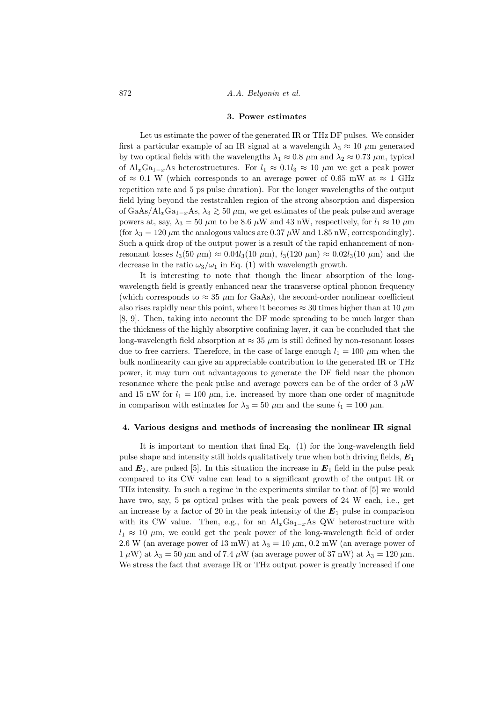### 3. Power estimates

Let us estimate the power of the generated IR or THz DF pulses. We consider first a particular example of an IR signal at a wavelength  $\lambda_3 \approx 10 \ \mu m$  generated by two optical fields with the wavelengths  $\lambda_1 \approx 0.8 \ \mu \text{m}$  and  $\lambda_2 \approx 0.73 \ \mu \text{m}$ , typical of Al<sub>x</sub>Ga<sub>1-x</sub>As heterostructures. For  $l_1 \approx 0.1l_3 \approx 10 \mu m$  we get a peak power of  $\approx 0.1$  W (which corresponds to an average power of 0.65 mW at  $\approx 1$  GHz repetition rate and 5 ps pulse duration). For the longer wavelengths of the output field lying beyond the reststrahlen region of the strong absorption and dispersion of GaAs/Al<sub>x</sub>Ga<sub>1−x</sub>As,  $\lambda_3 \gtrsim 50 \ \mu \text{m}$ , we get estimates of the peak pulse and average powers at, say,  $\lambda_3 = 50 \ \mu \text{m}$  to be 8.6  $\mu \text{W}$  and 43 nW, respectively, for  $l_1 \approx 10 \ \mu \text{m}$ (for  $\lambda_3 = 120 \ \mu \text{m}$  the analogous values are 0.37  $\mu$ W and 1.85 nW, correspondingly). Such a quick drop of the output power is a result of the rapid enhancement of nonresonant losses  $l_3(50 \ \mu m) \approx 0.04 l_3(10 \ \mu m)$ ,  $l_3(120 \ \mu m) \approx 0.02 l_3(10 \ \mu m)$  and the decrease in the ratio  $\omega_3/\omega_1$  in Eq. (1) with wavelength growth.

It is interesting to note that though the linear absorption of the longwavelength field is greatly enhanced near the transverse optical phonon frequency (which corresponds to  $\approx 35 \mu m$  for GaAs), the second-order nonlinear coefficient also rises rapidly near this point, where it becomes  $\approx 30$  times higher than at 10  $\mu$ m [8, 9]. Then, taking into account the DF mode spreading to be much larger than the thickness of the highly absorptive confining layer, it can be concluded that the long-wavelength field absorption at  $\approx 35 \ \mu \text{m}$  is still defined by non-resonant losses due to free carriers. Therefore, in the case of large enough  $l_1 = 100 \ \mu m$  when the bulk nonlinearity can give an appreciable contribution to the generated IR or THz power, it may turn out advantageous to generate the DF field near the phonon resonance where the peak pulse and average powers can be of the order of 3  $\mu$ W and 15 nW for  $l_1 = 100 \mu m$ , i.e. increased by more than one order of magnitude in comparison with estimates for  $\lambda_3 = 50 \ \mu \text{m}$  and the same  $l_1 = 100 \ \mu \text{m}$ .

#### 4. Various designs and methods of increasing the nonlinear IR signal

It is important to mention that final Eq. (1) for the long-wavelength field pulse shape and intensity still holds qualitatively true when both driving fields,  $E_1$ and  $E_2$ , are pulsed [5]. In this situation the increase in  $E_1$  field in the pulse peak compared to its CW value can lead to a significant growth of the output IR or THz intensity. In such a regime in the experiments similar to that of [5] we would have two, say, 5 ps optical pulses with the peak powers of 24 W each, i.e., get an increase by a factor of 20 in the peak intensity of the  $E_1$  pulse in comparison with its CW value. Then, e.g., for an  $\text{Al}_x\text{Ga}_{1-x}\text{As QW}$  heterostructure with  $l_1 \approx 10 \mu$ m, we could get the peak power of the long-wavelength field of order 2.6 W (an average power of 13 mW) at  $\lambda_3 = 10 \ \mu \text{m}$ , 0.2 mW (an average power of  $1 \mu W$ ) at  $\lambda_3 = 50 \mu m$  and of 7.4  $\mu$ W (an average power of 37 nW) at  $\lambda_3 = 120 \mu m$ . We stress the fact that average IR or THz output power is greatly increased if one